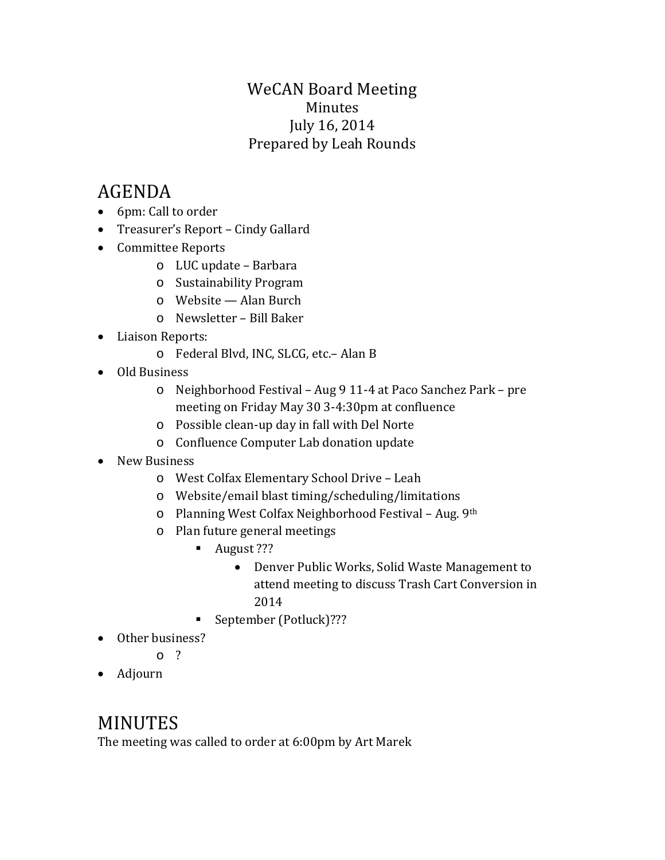## WeCAN Board Meeting Minutes July 16, 2014 Prepared by Leah Rounds

# AGENDA

- 6pm: Call to order
- Treasurer's Report Cindy Gallard
- Committee Reports
	- o LUC update Barbara
	- o Sustainability Program
	- o Website Alan Burch
	- o Newsletter Bill Baker
- Liaison Reports:
	- o Federal Blvd, INC, SLCG, etc.– Alan B
- Old Business
	- o Neighborhood Festival Aug 9 11-4 at Paco Sanchez Park pre meeting on Friday May 30 3-4:30pm at confluence
	- o Possible clean-up day in fall with Del Norte
	- o Confluence Computer Lab donation update
- New Business
	- o West Colfax Elementary School Drive Leah
	- o Website/email blast timing/scheduling/limitations
	- o Planning West Colfax Neighborhood Festival Aug. 9th
	- o Plan future general meetings
		- August ???
			- Denver Public Works, Solid Waste Management to attend meeting to discuss Trash Cart Conversion in 2014
		- September (Potluck)???
- Other business?

o ?

• Adjourn

# MINUTES

The meeting was called to order at 6:00pm by Art Marek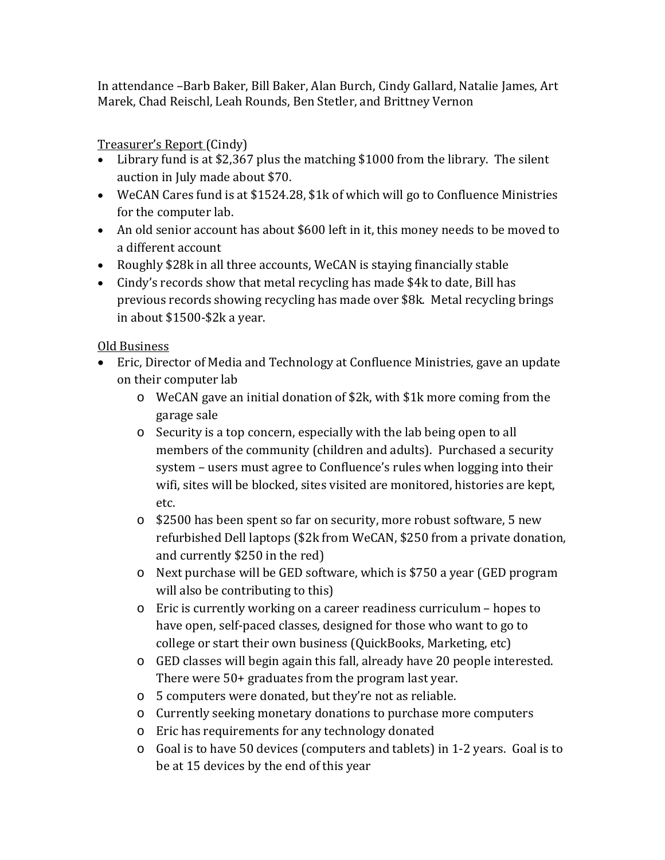In attendance –Barb Baker, Bill Baker, Alan Burch, Cindy Gallard, Natalie James, Art Marek, Chad Reischl, Leah Rounds, Ben Stetler, and Brittney Vernon

### Treasurer's Report (Cindy)

- Library fund is at \$2,367 plus the matching \$1000 from the library. The silent auction in July made about \$70.
- WeCAN Cares fund is at \$1524.28, \$1k of which will go to Confluence Ministries for the computer lab.
- An old senior account has about \$600 left in it, this money needs to be moved to a different account
- Roughly \$28k in all three accounts, WeCAN is staying financially stable
- Cindy's records show that metal recycling has made \$4k to date, Bill has previous records showing recycling has made over \$8k. Metal recycling brings in about \$1500-\$2k a year.

#### Old Business

- Eric, Director of Media and Technology at Confluence Ministries, gave an update on their computer lab
	- o WeCAN gave an initial donation of \$2k, with \$1k more coming from the garage sale
	- o Security is a top concern, especially with the lab being open to all members of the community (children and adults). Purchased a security system – users must agree to Confluence's rules when logging into their wifi, sites will be blocked, sites visited are monitored, histories are kept, etc.
	- o \$2500 has been spent so far on security, more robust software, 5 new refurbished Dell laptops (\$2k from WeCAN, \$250 from a private donation, and currently \$250 in the red)
	- o Next purchase will be GED software, which is \$750 a year (GED program will also be contributing to this)
	- o Eric is currently working on a career readiness curriculum hopes to have open, self-paced classes, designed for those who want to go to college or start their own business (QuickBooks, Marketing, etc)
	- o GED classes will begin again this fall, already have 20 people interested. There were 50+ graduates from the program last year.
	- o 5 computers were donated, but they're not as reliable.
	- o Currently seeking monetary donations to purchase more computers
	- o Eric has requirements for any technology donated
	- o Goal is to have 50 devices (computers and tablets) in 1-2 years. Goal is to be at 15 devices by the end of this year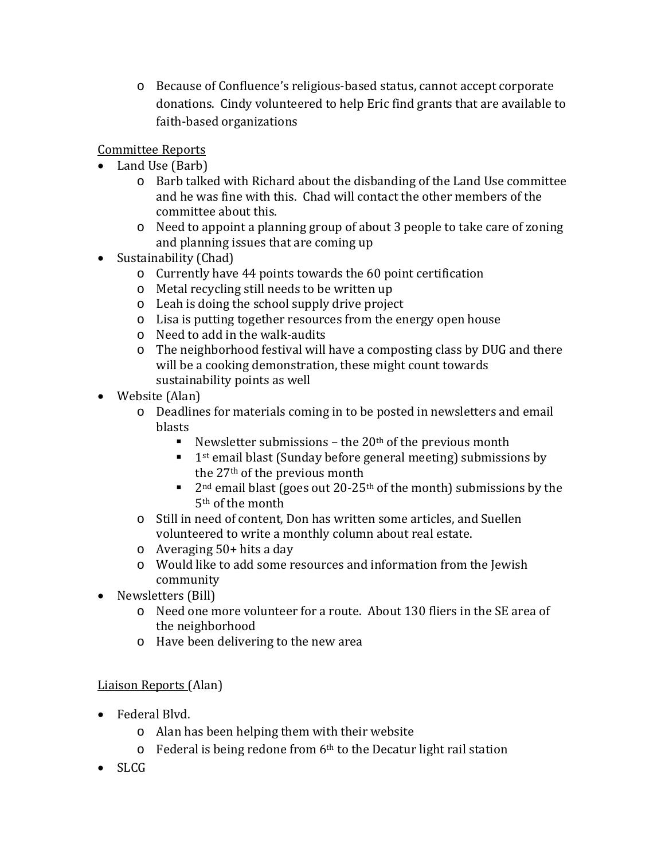o Because of Confluence's religious-based status, cannot accept corporate donations. Cindy volunteered to help Eric find grants that are available to faith-based organizations

Committee Reports

- Land Use (Barb)
	- o Barb talked with Richard about the disbanding of the Land Use committee and he was fine with this. Chad will contact the other members of the committee about this.
	- o Need to appoint a planning group of about 3 people to take care of zoning and planning issues that are coming up
- Sustainability (Chad)
	- o Currently have 44 points towards the 60 point certification
	- o Metal recycling still needs to be written up
	- o Leah is doing the school supply drive project
	- o Lisa is putting together resources from the energy open house
	- o Need to add in the walk-audits
	- o The neighborhood festival will have a composting class by DUG and there will be a cooking demonstration, these might count towards sustainability points as well
- Website (Alan)
	- o Deadlines for materials coming in to be posted in newsletters and email blasts
		- Newsletter submissions the  $20<sup>th</sup>$  of the previous month
		- $\blacksquare$  1<sup>st</sup> email blast (Sunday before general meeting) submissions by the 27th of the previous month
		- 2<sup>nd</sup> email blast (goes out 20-25<sup>th</sup> of the month) submissions by the 5th of the month
	- o Still in need of content, Don has written some articles, and Suellen volunteered to write a monthly column about real estate.
	- o Averaging 50+ hits a day
	- o Would like to add some resources and information from the Jewish community
- Newsletters (Bill)
	- o Need one more volunteer for a route. About 130 fliers in the SE area of the neighborhood
	- o Have been delivering to the new area

### Liaison Reports (Alan)

- Federal Blvd.
	- o Alan has been helping them with their website
	- $\circ$  Federal is being redone from 6<sup>th</sup> to the Decatur light rail station
- SLCG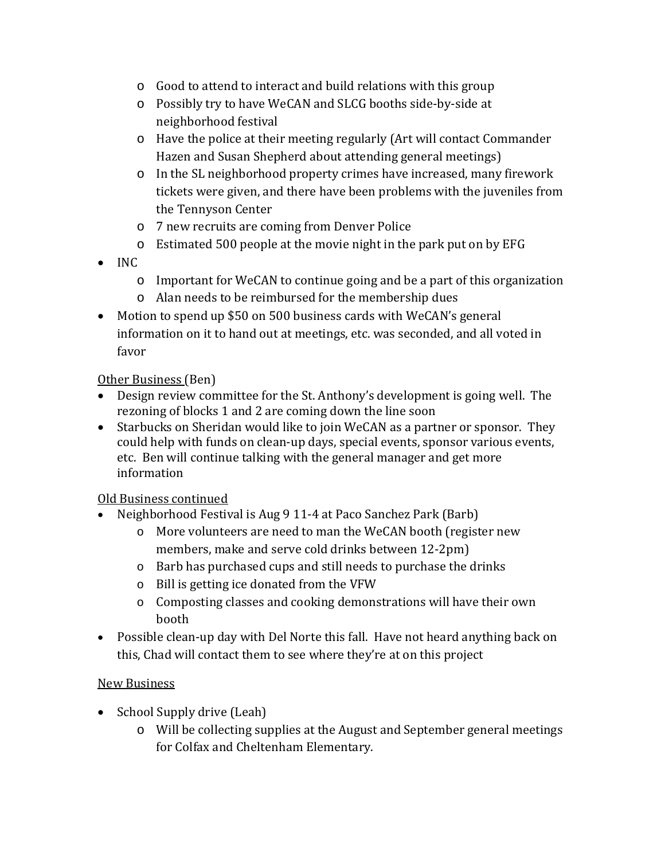- o Good to attend to interact and build relations with this group
- o Possibly try to have WeCAN and SLCG booths side-by-side at neighborhood festival
- o Have the police at their meeting regularly (Art will contact Commander Hazen and Susan Shepherd about attending general meetings)
- o In the SL neighborhood property crimes have increased, many firework tickets were given, and there have been problems with the juveniles from the Tennyson Center
- o 7 new recruits are coming from Denver Police
- o Estimated 500 people at the movie night in the park put on by EFG
- INC
	- o Important for WeCAN to continue going and be a part of this organization
	- o Alan needs to be reimbursed for the membership dues
- Motion to spend up \$50 on 500 business cards with WeCAN's general information on it to hand out at meetings, etc. was seconded, and all voted in favor

#### Other Business (Ben)

- Design review committee for the St. Anthony's development is going well. The rezoning of blocks 1 and 2 are coming down the line soon
- Starbucks on Sheridan would like to join WeCAN as a partner or sponsor. They could help with funds on clean-up days, special events, sponsor various events, etc. Ben will continue talking with the general manager and get more information

#### Old Business continued

- Neighborhood Festival is Aug 9 11-4 at Paco Sanchez Park (Barb)
	- o More volunteers are need to man the WeCAN booth (register new members, make and serve cold drinks between 12-2pm)
	- o Barb has purchased cups and still needs to purchase the drinks
	- o Bill is getting ice donated from the VFW
	- o Composting classes and cooking demonstrations will have their own booth
- Possible clean-up day with Del Norte this fall. Have not heard anything back on this, Chad will contact them to see where they're at on this project

#### New Business

- School Supply drive (Leah)
	- o Will be collecting supplies at the August and September general meetings for Colfax and Cheltenham Elementary.